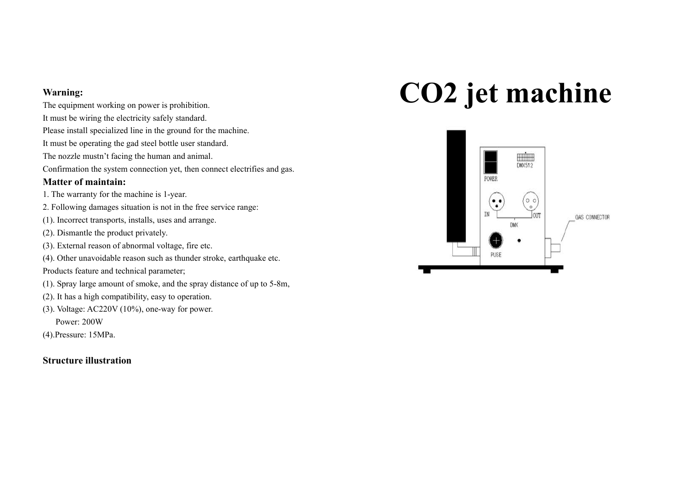#### **Warning:**

- The equipment working on power is prohibition. It must be wiring the electricity safely standard. Please install specialized line in the ground for the machine. It must be operating the gad steel bottle user standard.
- The nozzle mustn't facing the human and animal.
- Confirmation the system connection yet, then connect electrifies and gas.

#### **Matter of maintain:**

- 1. The warranty for the machine is 1-year.
- 2. Following damages situation is not in the free service range:
- (1). Incorrect transports, installs, uses and arrange.
- (2). Dismantle the product privately.
- (3). External reason of abnormal voltage, fire etc.
- (4). Other unavoidable reason such as thunder stroke, earthquake etc.
- Products feature and technical parameter;
- (1). Spray large amount of smoke, and the spray distance of up to 5-8m,
- (2). It has a high compatibility, easy to operation.
- (3). Voltage: AC220V (10%), one-way for power.

Power: 200W

(4).Pressure: 15MPa.

## **Structure illustration**

# **CO2 jet machine**